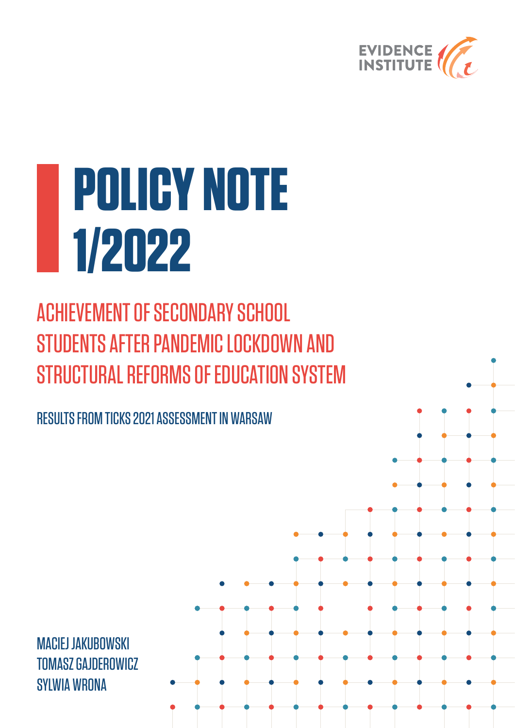

# **POLICY NOTE 1/2022**

ACHIEVEMENT OF SECONDARY SCHOOL STUDENTS AFTER PANDEMIC LOCKDOWN AND STRUCTURAL REFORMS OF EDUCATION SYSTEM

RESULTS FROM TICKS 2021 ASSESSMENT IN WARSAW

MACIEJ JAKUBOWSKI TOMASZ GAJDEROWICZ SYLWIA WRONA

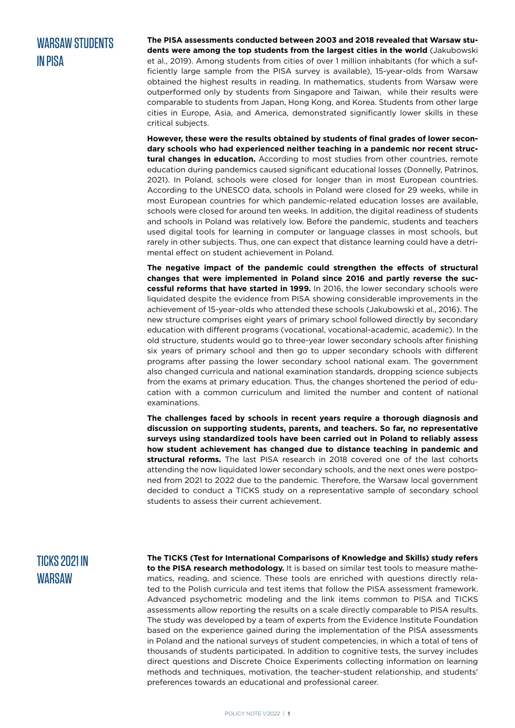#### WARSAW STIINFNTS IN PISA

**The PISA assessments conducted between 2003 and 2018 revealed that Warsaw students were among the top students from the largest cities in the world** (Jakubowski et al., 2019). Among students from cities of over 1 million inhabitants (for which a sufficiently large sample from the PISA survey is available), 15-year-olds from Warsaw obtained the highest results in reading. In mathematics, students from Warsaw were outperformed only by students from Singapore and Taiwan, while their results were comparable to students from Japan, Hong Kong, and Korea. Students from other large cities in Europe, Asia, and America, demonstrated significantly lower skills in these critical subjects.

**However, these were the results obtained by students of final grades of lower secondary schools who had experienced neither teaching in a pandemic nor recent structural changes in education.** According to most studies from other countries, remote education during pandemics caused significant educational losses (Donnelly, Patrinos, 2021). In Poland, schools were closed for longer than in most European countries. According to the UNESCO data, schools in Poland were closed for 29 weeks, while in most European countries for which pandemic-related education losses are available, schools were closed for around ten weeks. In addition, the digital readiness of students and schools in Poland was relatively low. Before the pandemic, students and teachers used digital tools for learning in computer or language classes in most schools, but rarely in other subjects. Thus, one can expect that distance learning could have a detrimental effect on student achievement in Poland.

**The negative impact of the pandemic could strengthen the effects of structural changes that were implemented in Poland since 2016 and partly reverse the successful reforms that have started in 1999.** In 2016, the lower secondary schools were liquidated despite the evidence from PISA showing considerable improvements in the achievement of 15-year-olds who attended these schools (Jakubowski et al., 2016). The new structure comprises eight years of primary school followed directly by secondary education with different programs (vocational, vocational-academic, academic). In the old structure, students would go to three-year lower secondary schools after finishing six years of primary school and then go to upper secondary schools with different programs after passing the lower secondary school national exam. The government also changed curricula and national examination standards, dropping science subjects from the exams at primary education. Thus, the changes shortened the period of education with a common curriculum and limited the number and content of national examinations.

**The challenges faced by schools in recent years require a thorough diagnosis and discussion on supporting students, parents, and teachers. So far, no representative surveys using standardized tools have been carried out in Poland to reliably assess how student achievement has changed due to distance teaching in pandemic and structural reforms.** The last PISA research in 2018 covered one of the last cohorts attending the now liquidated lower secondary schools, and the next ones were postponed from 2021 to 2022 due to the pandemic. Therefore, the Warsaw local government decided to conduct a TICKS study on a representative sample of secondary school students to assess their current achievement.

### TICKS 2021 IN WARSAW

**The TICKS (Test for International Comparisons of Knowledge and Skills) study refers to the PISA research methodology.** It is based on similar test tools to measure mathematics, reading, and science. These tools are enriched with questions directly related to the Polish curricula and test items that follow the PISA assessment framework. Advanced psychometric modeling and the link items common to PISA and TICKS assessments allow reporting the results on a scale directly comparable to PISA results. The study was developed by a team of experts from the Evidence Institute Foundation based on the experience gained during the implementation of the PISA assessments in Poland and the national surveys of student competencies, in which a total of tens of thousands of students participated. In addition to cognitive tests, the survey includes direct questions and Discrete Choice Experiments collecting information on learning methods and techniques, motivation, the teacher-student relationship, and students' preferences towards an educational and professional career.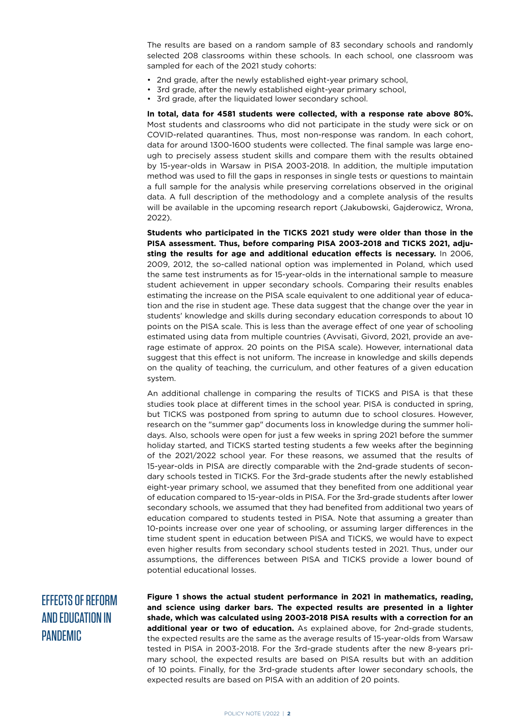The results are based on a random sample of 83 secondary schools and randomly selected 208 classrooms within these schools. In each school, one classroom was sampled for each of the 2021 study cohorts:

- 2nd grade, after the newly established eight-year primary school,
- 3rd grade, after the newly established eight-year primary school,
- 3rd grade, after the liquidated lower secondary school.

**In total, data for 4581 students were collected, with a response rate above 80%.** Most students and classrooms who did not participate in the study were sick or on COVID-related quarantines. Thus, most non-response was random. In each cohort, data for around 1300-1600 students were collected. The final sample was large enough to precisely assess student skills and compare them with the results obtained by 15-year-olds in Warsaw in PISA 2003-2018. In addition, the multiple imputation method was used to fill the gaps in responses in single tests or questions to maintain a full sample for the analysis while preserving correlations observed in the original data. A full description of the methodology and a complete analysis of the results will be available in the upcoming research report (Jakubowski, Gajderowicz, Wrona, 2022).

**Students who participated in the TICKS 2021 study were older than those in the PISA assessment. Thus, before comparing PISA 2003-2018 and TICKS 2021, adjusting the results for age and additional education effects is necessary.** In 2006, 2009, 2012, the so-called national option was implemented in Poland, which used the same test instruments as for 15-year-olds in the international sample to measure student achievement in upper secondary schools. Comparing their results enables estimating the increase on the PISA scale equivalent to one additional year of education and the rise in student age. These data suggest that the change over the year in students' knowledge and skills during secondary education corresponds to about 10 points on the PISA scale. This is less than the average effect of one year of schooling estimated using data from multiple countries (Avvisati, Givord, 2021, provide an average estimate of approx. 20 points on the PISA scale). However, international data suggest that this effect is not uniform. The increase in knowledge and skills depends on the quality of teaching, the curriculum, and other features of a given education system.

An additional challenge in comparing the results of TICKS and PISA is that these studies took place at different times in the school year. PISA is conducted in spring, but TICKS was postponed from spring to autumn due to school closures. However, research on the "summer gap" documents loss in knowledge during the summer holidays. Also, schools were open for just a few weeks in spring 2021 before the summer holiday started, and TICKS started testing students a few weeks after the beginning of the 2021/2022 school year. For these reasons, we assumed that the results of 15-year-olds in PISA are directly comparable with the 2nd-grade students of secondary schools tested in TICKS. For the 3rd-grade students after the newly established eight-year primary school, we assumed that they benefited from one additional year of education compared to 15-year-olds in PISA. For the 3rd-grade students after lower secondary schools, we assumed that they had benefited from additional two years of education compared to students tested in PISA. Note that assuming a greater than 10-points increase over one year of schooling, or assuming larger differences in the time student spent in education between PISA and TICKS, we would have to expect even higher results from secondary school students tested in 2021. Thus, under our assumptions, the differences between PISA and TICKS provide a lower bound of potential educational losses.

## EFFECTS OF REFORM AND EDUCATION IN PANDEMIC

**Figure 1 shows the actual student performance in 2021 in mathematics, reading, and science using darker bars. The expected results are presented in a lighter shade, which was calculated using 2003-2018 PISA results with a correction for an additional year or two of education.** As explained above, for 2nd-grade students, the expected results are the same as the average results of 15-year-olds from Warsaw tested in PISA in 2003-2018. For the 3rd-grade students after the new 8-years primary school, the expected results are based on PISA results but with an addition of 10 points. Finally, for the 3rd-grade students after lower secondary schools, the expected results are based on PISA with an addition of 20 points.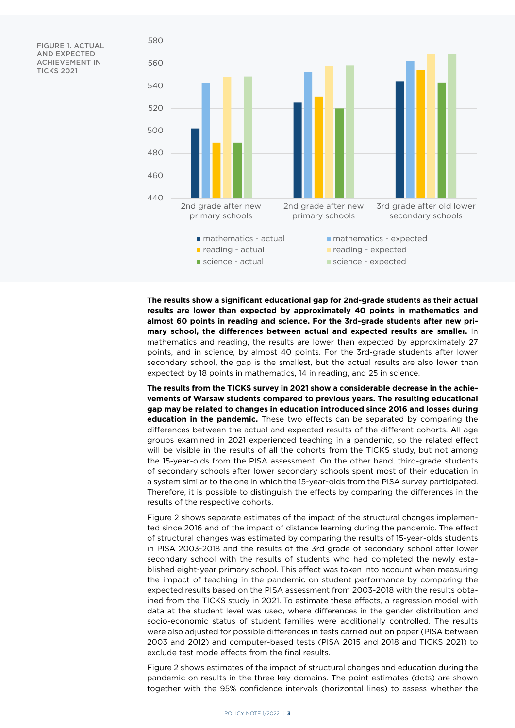FIGURE 1. ACTUAL AND EXPECTED ACHIEVEMENT IN TICKS 2021



**The results show a significant educational gap for 2nd-grade students as their actual results are lower than expected by approximately 40 points in mathematics and almost 60 points in reading and science. For the 3rd-grade students after new primary school, the differences between actual and expected results are smaller.** In mathematics and reading, the results are lower than expected by approximately 27 points, and in science, by almost 40 points. For the 3rd-grade students after lower secondary school, the gap is the smallest, but the actual results are also lower than expected: by 18 points in mathematics, 14 in reading, and 25 in science.

**The results from the TICKS survey in 2021 show a considerable decrease in the achievements of Warsaw students compared to previous years. The resulting educational gap may be related to changes in education introduced since 2016 and losses during education in the pandemic.** These two effects can be separated by comparing the differences between the actual and expected results of the different cohorts. All age groups examined in 2021 experienced teaching in a pandemic, so the related effect will be visible in the results of all the cohorts from the TICKS study, but not among the 15-year-olds from the PISA assessment. On the other hand, third-grade students of secondary schools after lower secondary schools spent most of their education in a system similar to the one in which the 15-year-olds from the PISA survey participated. Therefore, it is possible to distinguish the effects by comparing the differences in the results of the respective cohorts.

Figure 2 shows separate estimates of the impact of the structural changes implemented since 2016 and of the impact of distance learning during the pandemic. The effect of structural changes was estimated by comparing the results of 15-year-olds students in PISA 2003-2018 and the results of the 3rd grade of secondary school after lower secondary school with the results of students who had completed the newly established eight-year primary school. This effect was taken into account when measuring the impact of teaching in the pandemic on student performance by comparing the expected results based on the PISA assessment from 2003-2018 with the results obtained from the TICKS study in 2021. To estimate these effects, a regression model with data at the student level was used, where differences in the gender distribution and socio-economic status of student families were additionally controlled. The results were also adjusted for possible differences in tests carried out on paper (PISA between 2003 and 2012) and computer-based tests (PISA 2015 and 2018 and TICKS 2021) to exclude test mode effects from the final results.

Figure 2 shows estimates of the impact of structural changes and education during the pandemic on results in the three key domains. The point estimates (dots) are shown together with the 95% confidence intervals (horizontal lines) to assess whether the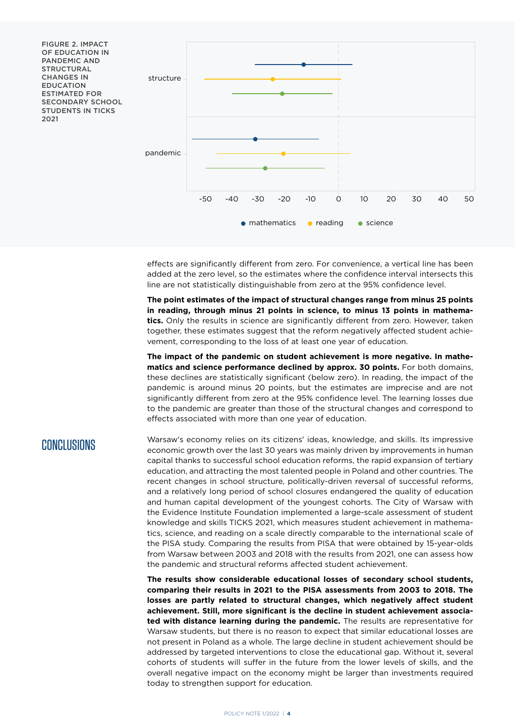

effects are significantly different from zero. For convenience, a vertical line has been added at the zero level, so the estimates where the confidence interval intersects this line are not statistically distinguishable from zero at the 95% confidence level.

**The point estimates of the impact of structural changes range from minus 25 points in reading, through minus 21 points in science, to minus 13 points in mathematics.** Only the results in science are significantly different from zero. However, taken together, these estimates suggest that the reform negatively affected student achievement, corresponding to the loss of at least one year of education.

**The impact of the pandemic on student achievement is more negative. In mathematics and science performance declined by approx. 30 points.** For both domains, these declines are statistically significant (below zero). In reading, the impact of the pandemic is around minus 20 points, but the estimates are imprecise and are not significantly different from zero at the 95% confidence level. The learning losses due to the pandemic are greater than those of the structural changes and correspond to effects associated with more than one year of education.

#### CONCLUSIONS

Warsaw's economy relies on its citizens' ideas, knowledge, and skills. Its impressive economic growth over the last 30 years was mainly driven by improvements in human capital thanks to successful school education reforms, the rapid expansion of tertiary education, and attracting the most talented people in Poland and other countries. The recent changes in school structure, politically-driven reversal of successful reforms, and a relatively long period of school closures endangered the quality of education and human capital development of the youngest cohorts. The City of Warsaw with the Evidence Institute Foundation implemented a large-scale assessment of student knowledge and skills TICKS 2021, which measures student achievement in mathematics, science, and reading on a scale directly comparable to the international scale of the PISA study. Comparing the results from PISA that were obtained by 15-year-olds from Warsaw between 2003 and 2018 with the results from 2021, one can assess how the pandemic and structural reforms affected student achievement.

**The results show considerable educational losses of secondary school students, comparing their results in 2021 to the PISA assessments from 2003 to 2018. The losses are partly related to structural changes, which negatively affect student achievement. Still, more significant is the decline in student achievement associated with distance learning during the pandemic.** The results are representative for Warsaw students, but there is no reason to expect that similar educational losses are not present in Poland as a whole. The large decline in student achievement should be addressed by targeted interventions to close the educational gap. Without it, several cohorts of students will suffer in the future from the lower levels of skills, and the overall negative impact on the economy might be larger than investments required today to strengthen support for education.